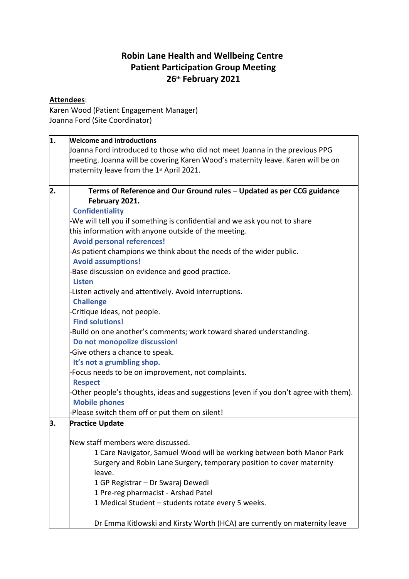## **Robin Lane Health and Wellbeing Centre Patient Participation Group Meeting 26th February 2021**

## **Attendees**:

Karen Wood (Patient Engagement Manager) Joanna Ford (Site Coordinator)

| 1. | <b>Welcome and introductions</b>                                                    |
|----|-------------------------------------------------------------------------------------|
|    | Joanna Ford introduced to those who did not meet Joanna in the previous PPG         |
|    | meeting. Joanna will be covering Karen Wood's maternity leave. Karen will be on     |
|    | maternity leave from the 1 <sup>st</sup> April 2021.                                |
|    |                                                                                     |
| 2. | Terms of Reference and Our Ground rules - Updated as per CCG guidance               |
|    | February 2021.                                                                      |
|    | <b>Confidentiality</b>                                                              |
|    | -We will tell you if something is confidential and we ask you not to share          |
|    | this information with anyone outside of the meeting.                                |
|    | <b>Avoid personal references!</b>                                                   |
|    | -As patient champions we think about the needs of the wider public.                 |
|    | <b>Avoid assumptions!</b>                                                           |
|    | Base discussion on evidence and good practice.                                      |
|    | <b>Listen</b>                                                                       |
|    | -Listen actively and attentively. Avoid interruptions.<br><b>Challenge</b>          |
|    | Critique ideas, not people.                                                         |
|    | <b>Find solutions!</b>                                                              |
|    | Build on one another's comments; work toward shared understanding.                  |
|    | Do not monopolize discussion!                                                       |
|    | Give others a chance to speak.                                                      |
|    | It's not a grumbling shop.                                                          |
|    | Focus needs to be on improvement, not complaints.                                   |
|    | <b>Respect</b>                                                                      |
|    | Other people's thoughts, ideas and suggestions (even if you don't agree with them). |
|    | <b>Mobile phones</b>                                                                |
|    | Please switch them off or put them on silent!                                       |
| З. | <b>Practice Update</b>                                                              |
|    | New staff members were discussed.                                                   |
|    | 1 Care Navigator, Samuel Wood will be working between both Manor Park               |
|    | Surgery and Robin Lane Surgery, temporary position to cover maternity               |
|    | leave.                                                                              |
|    | 1 GP Registrar - Dr Swaraj Dewedi                                                   |
|    | 1 Pre-reg pharmacist - Arshad Patel                                                 |
|    | 1 Medical Student - students rotate every 5 weeks.                                  |
|    | Dr Emma Kitlowski and Kirsty Worth (HCA) are currently on maternity leave           |
|    |                                                                                     |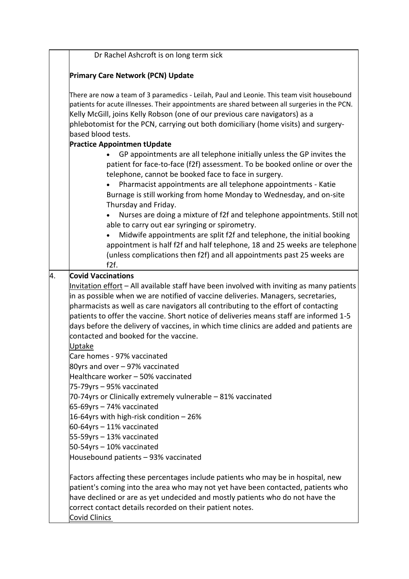|    | Dr Rachel Ashcroft is on long term sick                                                                                                                                                                                                                                                                                                                                                                                                                                                                      |
|----|--------------------------------------------------------------------------------------------------------------------------------------------------------------------------------------------------------------------------------------------------------------------------------------------------------------------------------------------------------------------------------------------------------------------------------------------------------------------------------------------------------------|
|    | <b>Primary Care Network (PCN) Update</b>                                                                                                                                                                                                                                                                                                                                                                                                                                                                     |
|    | There are now a team of 3 paramedics - Leilah, Paul and Leonie. This team visit housebound<br>patients for acute illnesses. Their appointments are shared between all surgeries in the PCN.<br>Kelly McGill, joins Kelly Robson (one of our previous care navigators) as a<br>phlebotomist for the PCN, carrying out both domiciliary (home visits) and surgery-                                                                                                                                             |
|    | based blood tests.                                                                                                                                                                                                                                                                                                                                                                                                                                                                                           |
|    | <b>Practice Appointmen tUpdate</b><br>GP appointments are all telephone initially unless the GP invites the<br>patient for face-to-face (f2f) assessment. To be booked online or over the<br>telephone, cannot be booked face to face in surgery.<br>Pharmacist appointments are all telephone appointments - Katie<br>Burnage is still working from home Monday to Wednesday, and on-site                                                                                                                   |
|    | Thursday and Friday.<br>Nurses are doing a mixture of f2f and telephone appointments. Still not<br>able to carry out ear syringing or spirometry.<br>Midwife appointments are split f2f and telephone, the initial booking<br>appointment is half f2f and half telephone, 18 and 25 weeks are telephone<br>(unless complications then f2f) and all appointments past 25 weeks are<br>f2f.                                                                                                                    |
| 4. | <b>Covid Vaccinations</b>                                                                                                                                                                                                                                                                                                                                                                                                                                                                                    |
|    | Invitation effort - All available staff have been involved with inviting as many patients<br>in as possible when we are notified of vaccine deliveries. Managers, secretaries,<br>pharmacists as well as care navigators all contributing to the effort of contacting<br>patients to offer the vaccine. Short notice of deliveries means staff are informed 1-5<br>days before the delivery of vaccines, in which time clinics are added and patients are<br>contacted and booked for the vaccine.<br>Uptake |
|    | Care homes - 97% vaccinated<br>80yrs and over - 97% vaccinated<br>Healthcare worker - 50% vaccinated<br>75-79yrs - 95% vaccinated                                                                                                                                                                                                                                                                                                                                                                            |
|    | 70-74yrs or Clinically extremely vulnerable - 81% vaccinated<br>65-69yrs - 74% vaccinated<br>16-64yrs with high-risk condition - 26%<br>60-64yrs - 11% vaccinated<br>55-59yrs – 13% vaccinated<br>$50-54$ yrs $-10%$ vaccinated                                                                                                                                                                                                                                                                              |
|    | Housebound patients - 93% vaccinated                                                                                                                                                                                                                                                                                                                                                                                                                                                                         |
|    | Factors affecting these percentages include patients who may be in hospital, new<br>patient's coming into the area who may not yet have been contacted, patients who<br>have declined or are as yet undecided and mostly patients who do not have the<br>correct contact details recorded on their patient notes.<br><b>Covid Clinics</b>                                                                                                                                                                    |